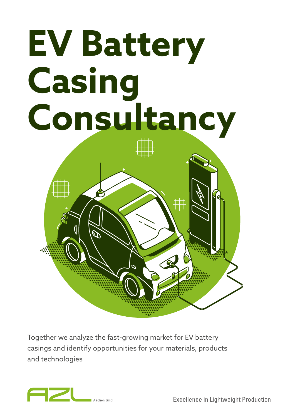# **EV Battery Casing Consultancy**

Together we analyze the fast-growing market for EV battery casings and identify opportunities for your materials, products and technologies



**Excellence in Lightweight Production**